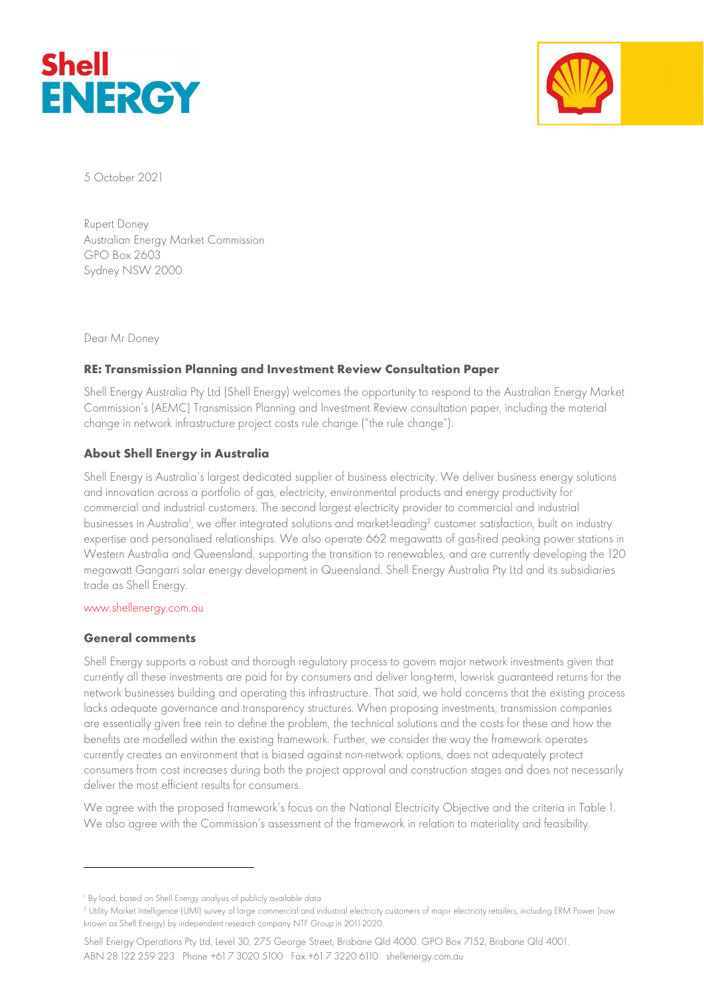



5 October 2021

Rupert Doney Australian Energy Market Commission GPO Box 2603 Sydney NSW 2000

Dear Mr Doney

# RE: Transmission Planning and Investment Review Consultation Paper

Shell Energy Australia Pty Ltd (Shell Energy) welcomes the opportunity to respond to the Australian Energy Market Commission's (AEMC) Transmission Planning and Investment Review consultation paper, including the material change in network infrastructure project costs rule change ("the rule change").

# About Shell Energy in Australia

Shell Energy is Australia's largest dedicated supplier of business electricity. We deliver business energy solutions and innovation across a portfolio of gas, electricity, environmental products and energy productivity for commercial and industrial customers. The second largest electricity provider to commercial and industrial businesses in Australia<sup>1</sup>, we offer integrated solutions and market-leading<sup>2</sup> customer satisfaction, built on industry expertise and personalised relationships. We also operate 662 megawatts of gas-fired peaking power stations in Western Australia and Queensland, supporting the transition to renewables, and are currently developing the 120 megawatt Gangarri solar energy development in Queensland. Shell Energy Australia Pty Ltd and its subsidiaries trade as Shell Energy.

#### www.shellenergy.com.au

#### General comments

Shell Energy supports a robust and thorough regulatory process to govern major network investments given that currently all these investments are paid for by consumers and deliver long-term, low-risk guaranteed returns for the network businesses building and operating this infrastructure. That said, we hold concerns that the existing process lacks adequate governance and transparency structures. When proposing investments, transmission companies are essentially given free rein to define the problem, the technical solutions and the costs for these and how the benefits are modelled within the existing framework. Further, we consider the way the framework operates currently creates an environment that is biased against non-network options, does not adequately protect consumers from cost increases during both the project approval and construction stages and does not necessarily deliver the most efficient results for consumers.

We agree with the proposed framework's focus on the National Electricity Objective and the criteria in Table 1. We also agree with the Commission's assessment of the framework in relation to materiality and feasibility.

<sup>1</sup> By load, based on Shell Energy analysis of publicly available data

<sup>2</sup> Utility Market Intelligence (UMI) survey of large commercial and industrial electricity customers of major electricity retailers, including ERM Power (now known as Shell Energy) by independent research company NTF Group in 2011-2020.

Shell Energy Operations Pty Ltd, Level 30, 275 George Street, Brisbane Qld 4000. GPO Box 7152, Brisbane Qld 4001. ABN 28 122 259 223 Phone +61 7 3020 5100 Fax +61 7 3220 6110 shellenergy.com.au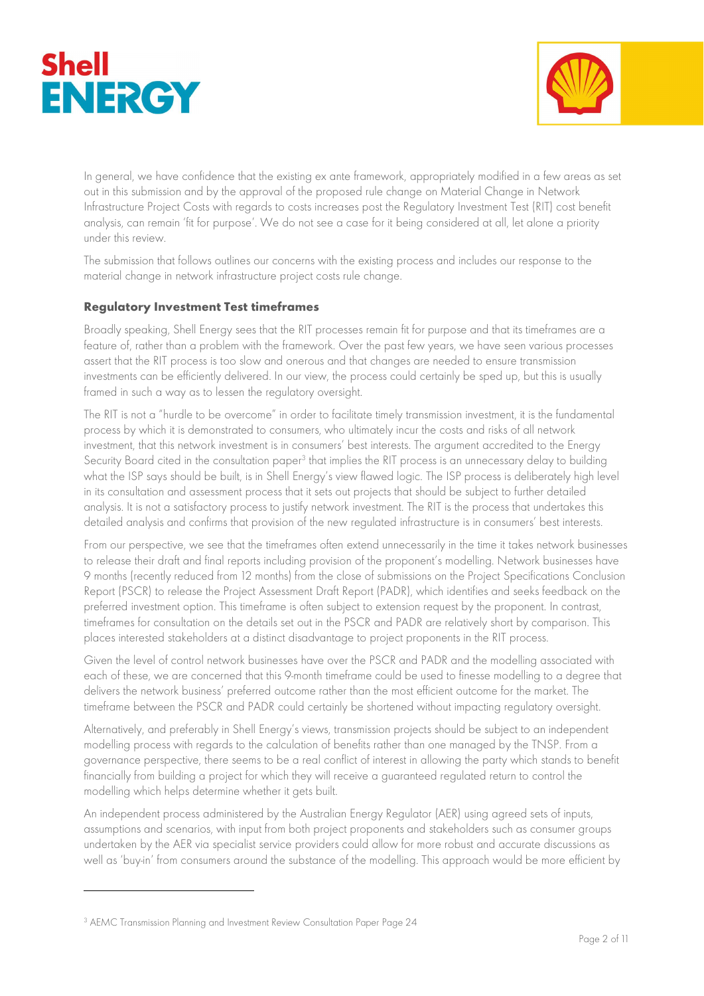



In general, we have confidence that the existing ex ante framework, appropriately modified in a few areas as set out in this submission and by the approval of the proposed rule change on Material Change in Network Infrastructure Project Costs with regards to costs increases post the Regulatory Investment Test (RIT) cost benefit analysis, can remain 'fit for purpose'. We do not see a case for it being considered at all, let alone a priority under this review.

The submission that follows outlines our concerns with the existing process and includes our response to the material change in network infrastructure project costs rule change.

### Regulatory Investment Test timeframes

Broadly speaking, Shell Energy sees that the RIT processes remain fit for purpose and that its timeframes are a feature of, rather than a problem with the framework. Over the past few years, we have seen various processes assert that the RIT process is too slow and onerous and that changes are needed to ensure transmission investments can be efficiently delivered. In our view, the process could certainly be sped up, but this is usually framed in such a way as to lessen the regulatory oversight.

The RIT is not a "hurdle to be overcome" in order to facilitate timely transmission investment, it is the fundamental process by which it is demonstrated to consumers, who ultimately incur the costs and risks of all network investment, that this network investment is in consumers' best interests. The argument accredited to the Energy Security Board cited in the consultation paper<sup>3</sup> that implies the RIT process is an unnecessary delay to building what the ISP says should be built, is in Shell Energy's view flawed logic. The ISP process is deliberately high level in its consultation and assessment process that it sets out projects that should be subject to further detailed analysis. It is not a satisfactory process to justify network investment. The RIT is the process that undertakes this detailed analysis and confirms that provision of the new regulated infrastructure is in consumers' best interests.

From our perspective, we see that the timeframes often extend unnecessarily in the time it takes network businesses to release their draft and final reports including provision of the proponent's modelling. Network businesses have 9 months (recently reduced from 12 months) from the close of submissions on the Project Specifications Conclusion Report (PSCR) to release the Project Assessment Draft Report (PADR), which identifies and seeks feedback on the preferred investment option. This timeframe is often subject to extension request by the proponent. In contrast, timeframes for consultation on the details set out in the PSCR and PADR are relatively short by comparison. This places interested stakeholders at a distinct disadvantage to project proponents in the RIT process.

Given the level of control network businesses have over the PSCR and PADR and the modelling associated with each of these, we are concerned that this 9-month timeframe could be used to finesse modelling to a degree that delivers the network business' preferred outcome rather than the most efficient outcome for the market. The timeframe between the PSCR and PADR could certainly be shortened without impacting regulatory oversight.

Alternatively, and preferably in Shell Energy's views, transmission projects should be subject to an independent modelling process with regards to the calculation of benefits rather than one managed by the TNSP. From a governance perspective, there seems to be a real conflict of interest in allowing the party which stands to benefit financially from building a project for which they will receive a guaranteed regulated return to control the modelling which helps determine whether it gets built.

An independent process administered by the Australian Energy Regulator (AER) using agreed sets of inputs, assumptions and scenarios, with input from both project proponents and stakeholders such as consumer groups undertaken by the AER via specialist service providers could allow for more robust and accurate discussions as well as 'buy-in' from consumers around the substance of the modelling. This approach would be more efficient by

<sup>3</sup> AEMC Transmission Planning and Investment Review Consultation Paper Page 24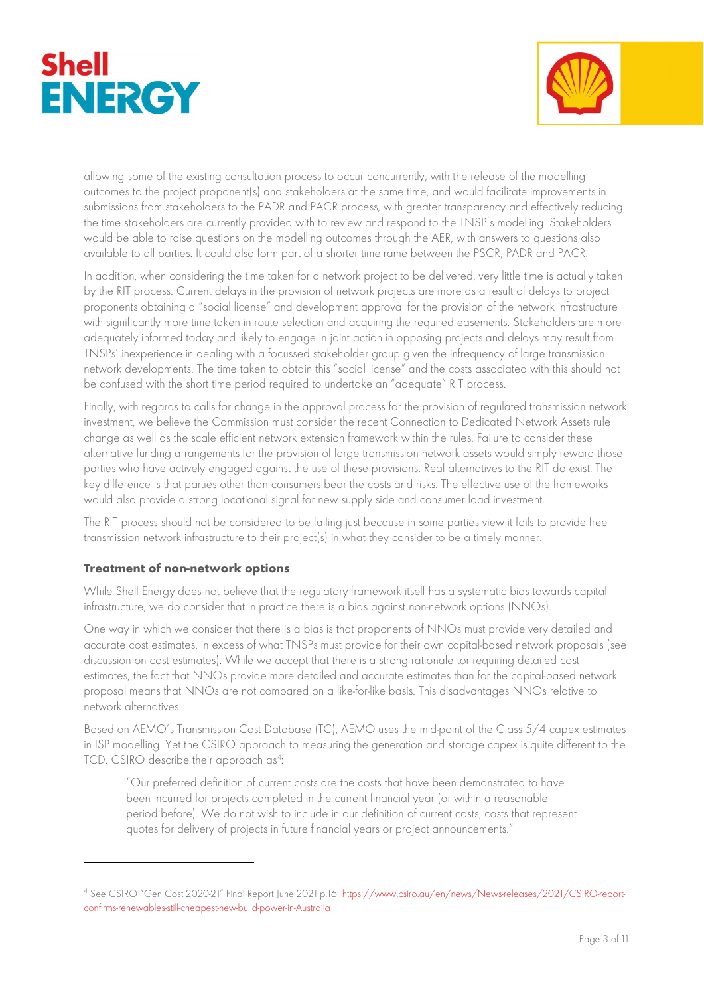



allowing some of the existing consultation process to occur concurrently, with the release of the modelling outcomes to the project proponent(s) and stakeholders at the same time, and would facilitate improvements in submissions from stakeholders to the PADR and PACR process, with greater transparency and effectively reducing the time stakeholders are currently provided with to review and respond to the TNSP's modelling. Stakeholders would be able to raise questions on the modelling outcomes through the AER, with answers to questions also available to all parties. It could also form part of a shorter timeframe between the PSCR, PADR and PACR.

In addition, when considering the time taken for a network project to be delivered, very little time is actually taken by the RIT process. Current delays in the provision of network projects are more as a result of delays to project proponents obtaining a "social license" and development approval for the provision of the network infrastructure with significantly more time taken in route selection and acquiring the required easements. Stakeholders are more adequately informed today and likely to engage in joint action in opposing projects and delays may result from TNSPs' inexperience in dealing with a focussed stakeholder group given the infrequency of large transmission network developments. The time taken to obtain this "social license" and the costs associated with this should not be confused with the short time period required to undertake an "adequate" RIT process.

Finally, with regards to calls for change in the approval process for the provision of regulated transmission network investment, we believe the Commission must consider the recent Connection to Dedicated Network Assets rule change as well as the scale efficient network extension framework within the rules. Failure to consider these alternative funding arrangements for the provision of large transmission network assets would simply reward those parties who have actively engaged against the use of these provisions. Real alternatives to the RIT do exist. The key difference is that parties other than consumers bear the costs and risks. The effective use of the frameworks would also provide a strong locational signal for new supply side and consumer load investment.

The RIT process should not be considered to be failing just because in some parties view it fails to provide free transmission network infrastructure to their project(s) in what they consider to be a timely manner.

# Treatment of non-network options

While Shell Energy does not believe that the regulatory framework itself has a systematic bias towards capital infrastructure, we do consider that in practice there is a bias against non-network options (NNOs).

One way in which we consider that there is a bias is that proponents of NNOs must provide very detailed and accurate cost estimates, in excess of what TNSPs must provide for their own capital-based network proposals (see discussion on cost estimates). While we accept that there is a strong rationale tor requiring detailed cost estimates, the fact that NNOs provide more detailed and accurate estimates than for the capital-based network proposal means that NNOs are not compared on a like-for-like basis. This disadvantages NNOs relative to network alternatives.

Based on AEMO's Transmission Cost Database (TC), AEMO uses the mid-point of the Class 5/4 capex estimates in ISP modelling. Yet the CSIRO approach to measuring the generation and storage capex is quite different to the TCD. CSIRO describe their approach as<sup>4</sup>:

"Our preferred definition of current costs are the costs that have been demonstrated to have been incurred for projects completed in the current financial year (or within a reasonable period before). We do not wish to include in our definition of current costs, costs that represent quotes for delivery of projects in future financial years or project announcements."

<sup>4</sup> See CSIRO "Gen Cost 2020-21" Final Report June 2021 p.16 https://www.csiro.au/en/news/News-releases/2021/CSIRO-reportconfirms-renewables-still-cheapest-new-build-power-in-Australia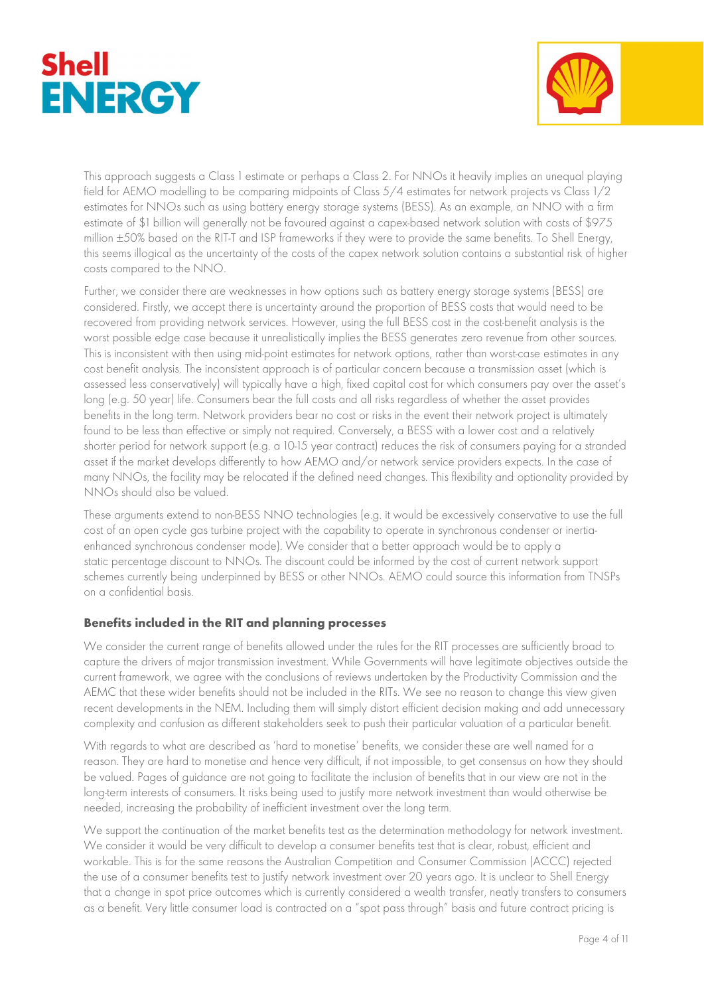



This approach suggests a Class 1 estimate or perhaps a Class 2. For NNOs it heavily implies an unequal playing field for AEMO modelling to be comparing midpoints of Class 5/4 estimates for network projects vs Class 1/2 estimates for NNOs such as using battery energy storage systems (BESS). As an example, an NNO with a firm estimate of \$1 billion will generally not be favoured against a capex-based network solution with costs of \$975 million ±50% based on the RIT-T and ISP frameworks if they were to provide the same benefits. To Shell Energy, this seems illogical as the uncertainty of the costs of the capex network solution contains a substantial risk of higher costs compared to the NNO.

Further, we consider there are weaknesses in how options such as battery energy storage systems (BESS) are considered. Firstly, we accept there is uncertainty around the proportion of BESS costs that would need to be recovered from providing network services. However, using the full BESS cost in the cost-benefit analysis is the worst possible edge case because it unrealistically implies the BESS generates zero revenue from other sources. This is inconsistent with then using mid-point estimates for network options, rather than worst-case estimates in any cost benefit analysis. The inconsistent approach is of particular concern because a transmission asset (which is assessed less conservatively) will typically have a high, fixed capital cost for which consumers pay over the asset's long (e.g. 50 year) life. Consumers bear the full costs and all risks regardless of whether the asset provides benefits in the long term. Network providers bear no cost or risks in the event their network project is ultimately found to be less than effective or simply not required. Conversely, a BESS with a lower cost and a relatively shorter period for network support (e.g. a 10-15 year contract) reduces the risk of consumers paying for a stranded asset if the market develops differently to how AEMO and/or network service providers expects. In the case of many NNOs, the facility may be relocated if the defined need changes. This flexibility and optionality provided by NNOs should also be valued.

These arguments extend to non-BESS NNO technologies (e.g. it would be excessively conservative to use the full cost of an open cycle gas turbine project with the capability to operate in synchronous condenser or inertiaenhanced synchronous condenser mode). We consider that a better approach would be to apply a static percentage discount to NNOs. The discount could be informed by the cost of current network support schemes currently being underpinned by BESS or other NNOs. AEMO could source this information from TNSPs on a confidential basis.

# Benefits included in the RIT and planning processes

We consider the current range of benefits allowed under the rules for the RIT processes are sufficiently broad to capture the drivers of major transmission investment. While Governments will have legitimate objectives outside the current framework, we agree with the conclusions of reviews undertaken by the Productivity Commission and the AEMC that these wider benefits should not be included in the RITs. We see no reason to change this view given recent developments in the NEM. Including them will simply distort efficient decision making and add unnecessary complexity and confusion as different stakeholders seek to push their particular valuation of a particular benefit.

With regards to what are described as 'hard to monetise' benefits, we consider these are well named for a reason. They are hard to monetise and hence very difficult, if not impossible, to get consensus on how they should be valued. Pages of guidance are not going to facilitate the inclusion of benefits that in our view are not in the long-term interests of consumers. It risks being used to justify more network investment than would otherwise be needed, increasing the probability of inefficient investment over the long term.

We support the continuation of the market benefits test as the determination methodology for network investment. We consider it would be very difficult to develop a consumer benefits test that is clear, robust, efficient and workable. This is for the same reasons the Australian Competition and Consumer Commission (ACCC) rejected the use of a consumer benefits test to justify network investment over 20 years ago. It is unclear to Shell Energy that a change in spot price outcomes which is currently considered a wealth transfer, neatly transfers to consumers as a benefit. Very little consumer load is contracted on a "spot pass through" basis and future contract pricing is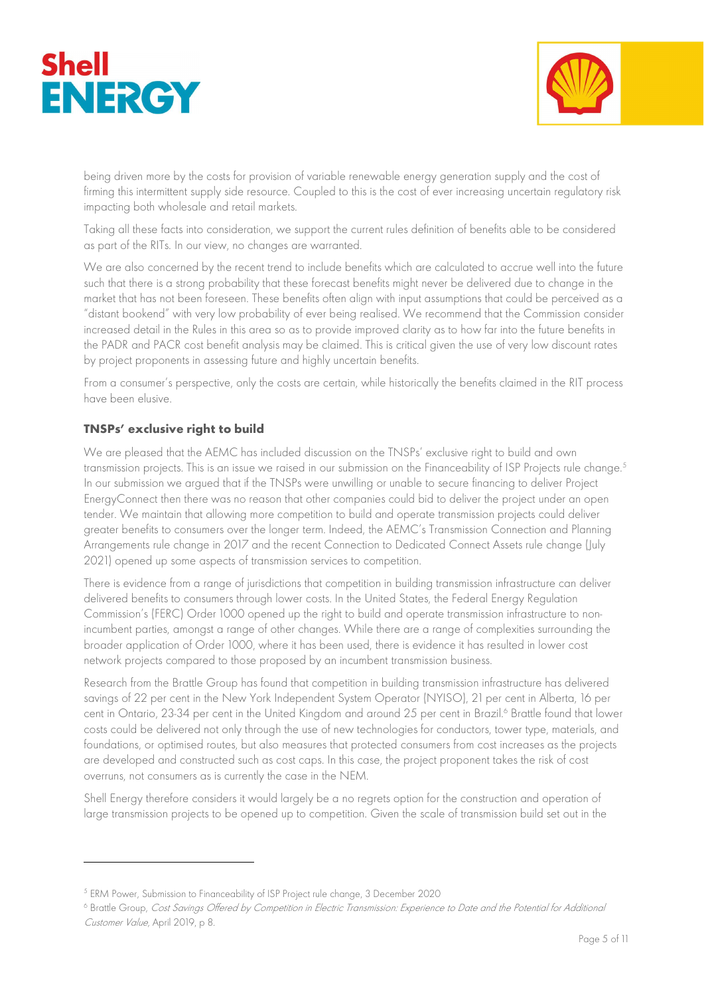



being driven more by the costs for provision of variable renewable energy generation supply and the cost of firming this intermittent supply side resource. Coupled to this is the cost of ever increasing uncertain regulatory risk impacting both wholesale and retail markets.

Taking all these facts into consideration, we support the current rules definition of benefits able to be considered as part of the RITs. In our view, no changes are warranted.

We are also concerned by the recent trend to include benefits which are calculated to accrue well into the future such that there is a strong probability that these forecast benefits might never be delivered due to change in the market that has not been foreseen. These benefits often align with input assumptions that could be perceived as a "distant bookend" with very low probability of ever being realised. We recommend that the Commission consider increased detail in the Rules in this area so as to provide improved clarity as to how far into the future benefits in the PADR and PACR cost benefit analysis may be claimed. This is critical given the use of very low discount rates by project proponents in assessing future and highly uncertain benefits.

From a consumer's perspective, only the costs are certain, while historically the benefits claimed in the RIT process have been elusive.

# TNSPs' exclusive right to build

We are pleased that the AEMC has included discussion on the TNSPs' exclusive right to build and own transmission projects. This is an issue we raised in our submission on the Financeability of ISP Projects rule change.<sup>5</sup> In our submission we argued that if the TNSPs were unwilling or unable to secure financing to deliver Project EnergyConnect then there was no reason that other companies could bid to deliver the project under an open tender. We maintain that allowing more competition to build and operate transmission projects could deliver greater benefits to consumers over the longer term. Indeed, the AEMC's Transmission Connection and Planning Arrangements rule change in 2017 and the recent Connection to Dedicated Connect Assets rule change (July 2021) opened up some aspects of transmission services to competition.

There is evidence from a range of jurisdictions that competition in building transmission infrastructure can deliver delivered benefits to consumers through lower costs. In the United States, the Federal Energy Regulation Commission's (FERC) Order 1000 opened up the right to build and operate transmission infrastructure to nonincumbent parties, amongst a range of other changes. While there are a range of complexities surrounding the broader application of Order 1000, where it has been used, there is evidence it has resulted in lower cost network projects compared to those proposed by an incumbent transmission business.

Research from the Brattle Group has found that competition in building transmission infrastructure has delivered savings of 22 per cent in the New York Independent System Operator (NYISO), 21 per cent in Alberta, 16 per cent in Ontario, 23-34 per cent in the United Kingdom and around 25 per cent in Brazil.<sup>6</sup> Brattle found that lower costs could be delivered not only through the use of new technologies for conductors, tower type, materials, and foundations, or optimised routes, but also measures that protected consumers from cost increases as the projects are developed and constructed such as cost caps. In this case, the project proponent takes the risk of cost overruns, not consumers as is currently the case in the NEM.

Shell Energy therefore considers it would largely be a no regrets option for the construction and operation of large transmission projects to be opened up to competition. Given the scale of transmission build set out in the

<sup>5</sup> ERM Power, Submission to Financeability of ISP Project rule change, 3 December 2020

<sup>&</sup>lt;sup>6</sup> Brattle Group, *Cost Savings Offered by Competition in Electric Transmission: Experience to Date and the Potential for Additional* Customer Value, April 2019, p 8.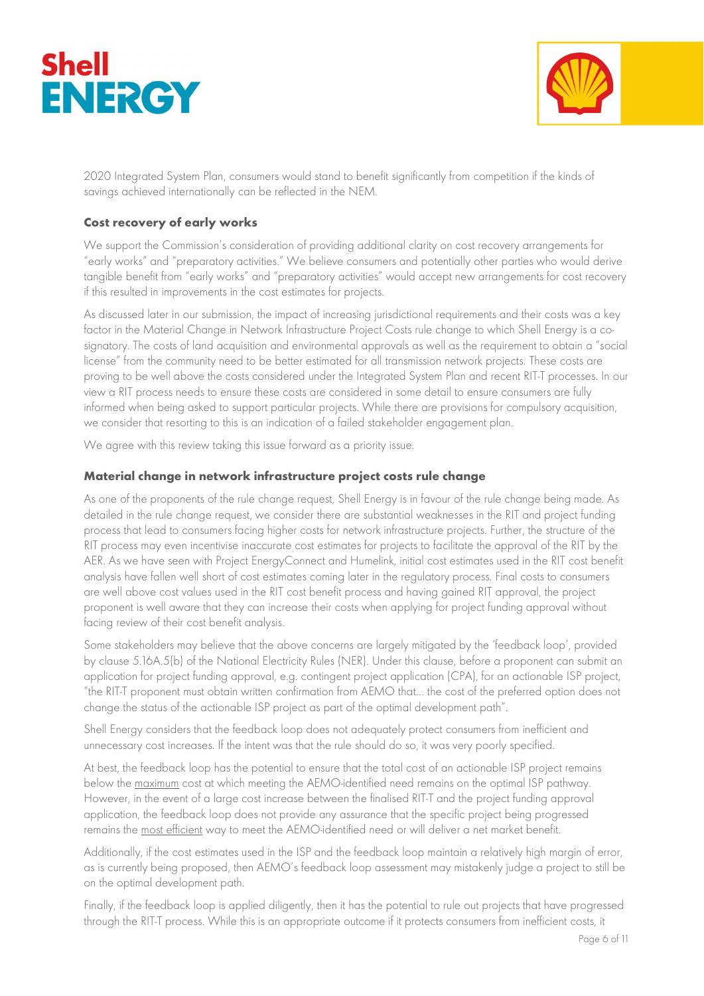



2020 Integrated System Plan, consumers would stand to benefit significantly from competition if the kinds of savings achieved internationally can be reflected in the NEM.

### Cost recovery of early works

We support the Commission's consideration of providing additional clarity on cost recovery arrangements for "early works" and "preparatory activities." We believe consumers and potentially other parties who would derive tangible benefit from "early works" and "preparatory activities" would accept new arrangements for cost recovery if this resulted in improvements in the cost estimates for projects.

As discussed later in our submission, the impact of increasing jurisdictional requirements and their costs was a key factor in the Material Change in Network Infrastructure Project Costs rule change to which Shell Energy is a cosignatory. The costs of land acquisition and environmental approvals as well as the requirement to obtain a "social license" from the community need to be better estimated for all transmission network projects. These costs are proving to be well above the costs considered under the Integrated System Plan and recent RIT-T processes. In our view a RIT process needs to ensure these costs are considered in some detail to ensure consumers are fully informed when being asked to support particular projects. While there are provisions for compulsory acquisition, we consider that resorting to this is an indication of a failed stakeholder engagement plan.

We agree with this review taking this issue forward as a priority issue.

### Material change in network infrastructure project costs rule change

As one of the proponents of the rule change request, Shell Energy is in favour of the rule change being made. As detailed in the rule change request, we consider there are substantial weaknesses in the RIT and project funding process that lead to consumers facing higher costs for network infrastructure projects. Further, the structure of the RIT process may even incentivise inaccurate cost estimates for projects to facilitate the approval of the RIT by the AER. As we have seen with Project EnergyConnect and Humelink, initial cost estimates used in the RIT cost benefit analysis have fallen well short of cost estimates coming later in the regulatory process. Final costs to consumers are well above cost values used in the RIT cost benefit process and having gained RIT approval, the project proponent is well aware that they can increase their costs when applying for project funding approval without facing review of their cost benefit analysis.

Some stakeholders may believe that the above concerns are largely mitigated by the 'feedback loop', provided by clause 5.16A.5(b) of the National Electricity Rules (NER). Under this clause, before a proponent can submit an application for project funding approval, e.g. contingent project application (CPA), for an actionable ISP project, "the RIT-T proponent must obtain written confirmation from AEMO that… the cost of the preferred option does not change the status of the actionable ISP project as part of the optimal development path".

Shell Energy considers that the feedback loop does not adequately protect consumers from inefficient and unnecessary cost increases. If the intent was that the rule should do so, it was very poorly specified.

At best, the feedback loop has the potential to ensure that the total cost of an actionable ISP project remains below the maximum cost at which meeting the AEMO-identified need remains on the optimal ISP pathway. However, in the event of a large cost increase between the finalised RIT-T and the project funding approval application, the feedback loop does not provide any assurance that the specific project being progressed remains the most efficient way to meet the AEMO-identified need or will deliver a net market benefit.

Additionally, if the cost estimates used in the ISP and the feedback loop maintain a relatively high margin of error, as is currently being proposed, then AEMO's feedback loop assessment may mistakenly judge a project to still be on the optimal development path.

Finally, if the feedback loop is applied diligently, then it has the potential to rule out projects that have progressed through the RIT-T process. While this is an appropriate outcome if it protects consumers from inefficient costs, it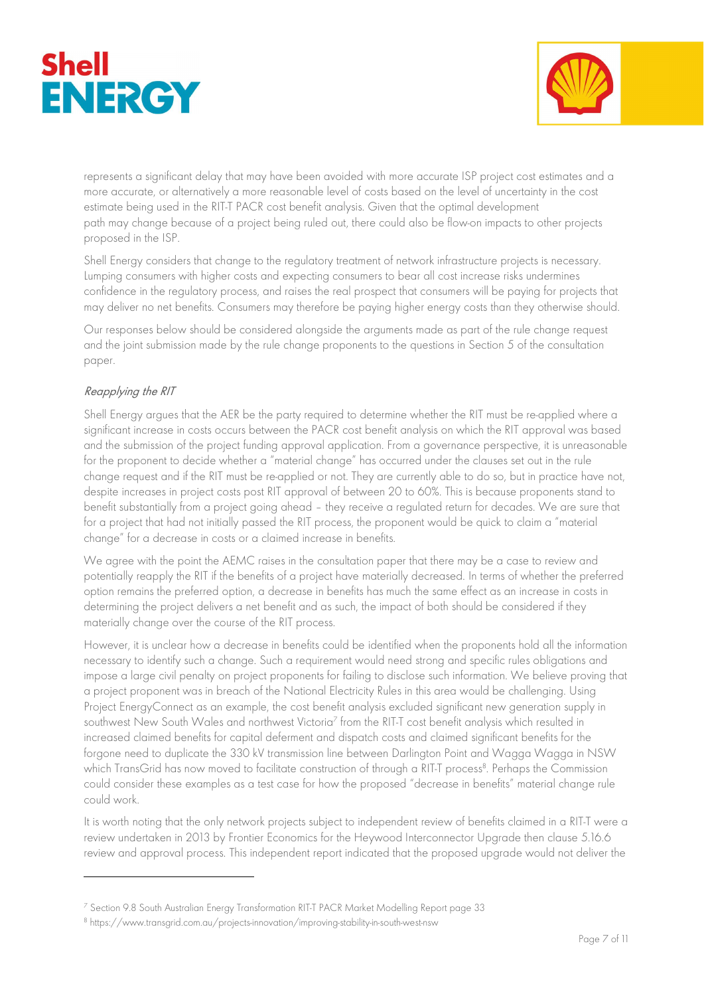



represents a significant delay that may have been avoided with more accurate ISP project cost estimates and a more accurate, or alternatively a more reasonable level of costs based on the level of uncertainty in the cost estimate being used in the RIT-T PACR cost benefit analysis. Given that the optimal development path may change because of a project being ruled out, there could also be flow-on impacts to other projects proposed in the ISP.

Shell Energy considers that change to the regulatory treatment of network infrastructure projects is necessary. Lumping consumers with higher costs and expecting consumers to bear all cost increase risks undermines confidence in the regulatory process, and raises the real prospect that consumers will be paying for projects that may deliver no net benefits. Consumers may therefore be paying higher energy costs than they otherwise should.

Our responses below should be considered alongside the arguments made as part of the rule change request and the joint submission made by the rule change proponents to the questions in Section 5 of the consultation paper.

### Reapplying the RIT

Shell Energy argues that the AER be the party required to determine whether the RIT must be re-applied where a significant increase in costs occurs between the PACR cost benefit analysis on which the RIT approval was based and the submission of the project funding approval application. From a governance perspective, it is unreasonable for the proponent to decide whether a "material change" has occurred under the clauses set out in the rule change request and if the RIT must be re-applied or not. They are currently able to do so, but in practice have not, despite increases in project costs post RIT approval of between 20 to 60%. This is because proponents stand to benefit substantially from a project going ahead – they receive a regulated return for decades. We are sure that for a project that had not initially passed the RIT process, the proponent would be quick to claim a "material change" for a decrease in costs or a claimed increase in benefits.

We agree with the point the AEMC raises in the consultation paper that there may be a case to review and potentially reapply the RIT if the benefits of a project have materially decreased. In terms of whether the preferred option remains the preferred option, a decrease in benefits has much the same effect as an increase in costs in determining the project delivers a net benefit and as such, the impact of both should be considered if they materially change over the course of the RIT process.

However, it is unclear how a decrease in benefits could be identified when the proponents hold all the information necessary to identify such a change. Such a requirement would need strong and specific rules obligations and impose a large civil penalty on project proponents for failing to disclose such information. We believe proving that a project proponent was in breach of the National Electricity Rules in this area would be challenging. Using Project EnergyConnect as an example, the cost benefit analysis excluded significant new generation supply in southwest New South Wales and northwest Victoria<sup>7</sup> from the RIT-T cost benefit analysis which resulted in increased claimed benefits for capital deferment and dispatch costs and claimed significant benefits for the forgone need to duplicate the 330 kV transmission line between Darlington Point and Wagga Wagga in NSW which TransGrid has now moved to facilitate construction of through a RIT-T process<sup>8</sup>. Perhaps the Commission could consider these examples as a test case for how the proposed "decrease in benefits" material change rule could work.

It is worth noting that the only network projects subject to independent review of benefits claimed in a RIT-T were a review undertaken in 2013 by Frontier Economics for the Heywood Interconnector Upgrade then clause 5.16.6 review and approval process. This independent report indicated that the proposed upgrade would not deliver the

<sup>7</sup> Section 9.8 South Australian Energy Transformation RIT-T PACR Market Modelling Report page 33

<sup>&</sup>lt;sup>8</sup> https://www.transgrid.com.au/projects-innovation/improving-stability-in-south-west-nsw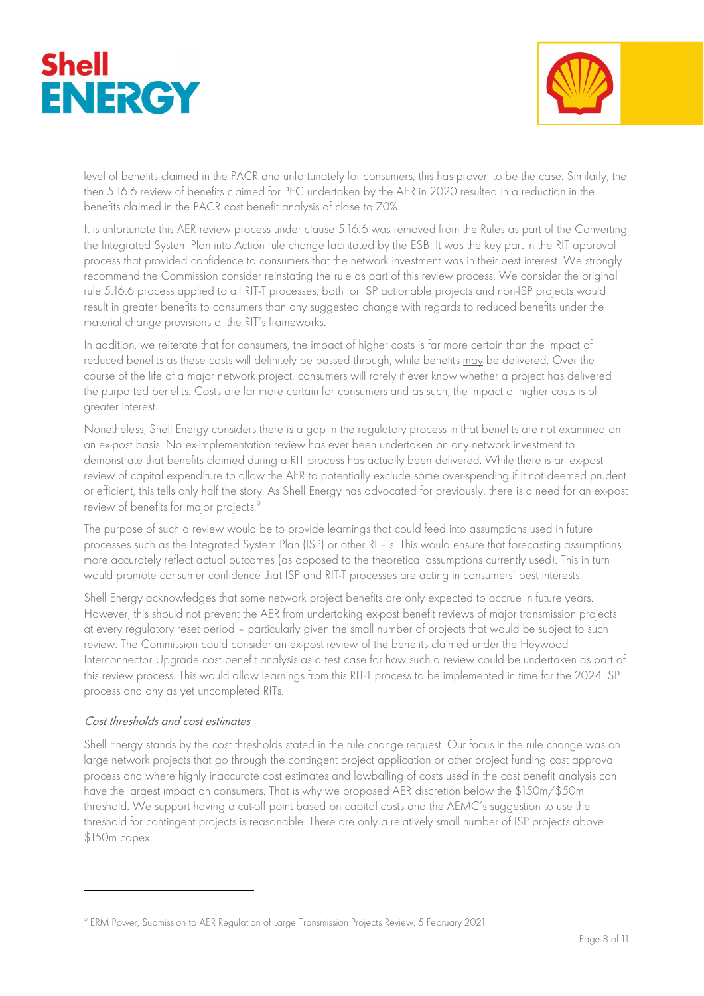



level of benefits claimed in the PACR and unfortunately for consumers, this has proven to be the case. Similarly, the then 5.16.6 review of benefits claimed for PEC undertaken by the AER in 2020 resulted in a reduction in the benefits claimed in the PACR cost benefit analysis of close to 70%.

It is unfortunate this AER review process under clause 5.16.6 was removed from the Rules as part of the Converting the Integrated System Plan into Action rule change facilitated by the ESB. It was the key part in the RIT approval process that provided confidence to consumers that the network investment was in their best interest. We strongly recommend the Commission consider reinstating the rule as part of this review process. We consider the original rule 5.16.6 process applied to all RIT-T processes, both for ISP actionable projects and non-ISP projects would result in greater benefits to consumers than any suggested change with regards to reduced benefits under the material change provisions of the RIT's frameworks.

In addition, we reiterate that for consumers, the impact of higher costs is far more certain than the impact of reduced benefits as these costs will definitely be passed through, while benefits may be delivered. Over the course of the life of a major network project, consumers will rarely if ever know whether a project has delivered the purported benefits. Costs are far more certain for consumers and as such, the impact of higher costs is of greater interest.

Nonetheless, Shell Energy considers there is a gap in the regulatory process in that benefits are not examined on an ex-post basis. No ex-implementation review has ever been undertaken on any network investment to demonstrate that benefits claimed during a RIT process has actually been delivered. While there is an ex-post review of capital expenditure to allow the AER to potentially exclude some over-spending if it not deemed prudent or efficient, this tells only half the story. As Shell Energy has advocated for previously, there is a need for an ex-post review of benefits for major projects.<sup>9</sup>

The purpose of such a review would be to provide learnings that could feed into assumptions used in future processes such as the Integrated System Plan (ISP) or other RIT-Ts. This would ensure that forecasting assumptions more accurately reflect actual outcomes (as opposed to the theoretical assumptions currently used). This in turn would promote consumer confidence that ISP and RIT-T processes are acting in consumers' best interests.

Shell Energy acknowledges that some network project benefits are only expected to accrue in future years. However, this should not prevent the AER from undertaking ex-post benefit reviews of major transmission projects at every regulatory reset period – particularly given the small number of projects that would be subject to such review. The Commission could consider an ex-post review of the benefits claimed under the Heywood Interconnector Upgrade cost benefit analysis as a test case for how such a review could be undertaken as part of this review process. This would allow learnings from this RIT-T process to be implemented in time for the 2024 ISP process and any as yet uncompleted RITs.

# Cost thresholds and cost estimates

Shell Energy stands by the cost thresholds stated in the rule change request. Our focus in the rule change was on large network projects that go through the contingent project application or other project funding cost approval process and where highly inaccurate cost estimates and lowballing of costs used in the cost benefit analysis can have the largest impact on consumers. That is why we proposed AER discretion below the \$150m/\$50m threshold. We support having a cut-off point based on capital costs and the AEMC's suggestion to use the threshold for contingent projects is reasonable. There are only a relatively small number of ISP projects above \$150m capex.

<sup>9</sup> ERM Power, Submission to AER Regulation of Large Transmission Projects Review. 5 February 2021.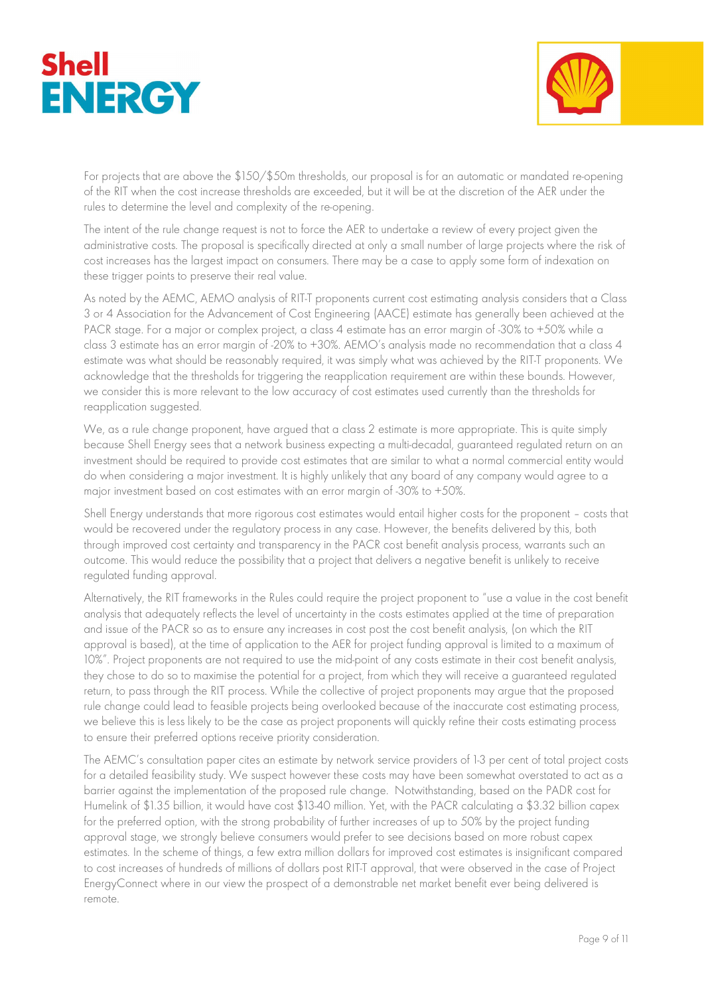



For projects that are above the \$150/\$50m thresholds, our proposal is for an automatic or mandated re-opening of the RIT when the cost increase thresholds are exceeded, but it will be at the discretion of the AER under the rules to determine the level and complexity of the re-opening.

The intent of the rule change request is not to force the AER to undertake a review of every project given the administrative costs. The proposal is specifically directed at only a small number of large projects where the risk of cost increases has the largest impact on consumers. There may be a case to apply some form of indexation on these trigger points to preserve their real value.

As noted by the AEMC, AEMO analysis of RIT-T proponents current cost estimating analysis considers that a Class 3 or 4 Association for the Advancement of Cost Engineering (AACE) estimate has generally been achieved at the PACR stage. For a major or complex project, a class 4 estimate has an error margin of -30% to +50% while a class 3 estimate has an error margin of -20% to +30%. AEMO's analysis made no recommendation that a class 4 estimate was what should be reasonably required, it was simply what was achieved by the RIT-T proponents. We acknowledge that the thresholds for triggering the reapplication requirement are within these bounds. However, we consider this is more relevant to the low accuracy of cost estimates used currently than the thresholds for reapplication suggested.

We, as a rule change proponent, have argued that a class 2 estimate is more appropriate. This is quite simply because Shell Energy sees that a network business expecting a multi-decadal, guaranteed regulated return on an investment should be required to provide cost estimates that are similar to what a normal commercial entity would do when considering a major investment. It is highly unlikely that any board of any company would agree to a major investment based on cost estimates with an error margin of  $-30\%$  to  $+50\%$ .

Shell Energy understands that more rigorous cost estimates would entail higher costs for the proponent – costs that would be recovered under the regulatory process in any case. However, the benefits delivered by this, both through improved cost certainty and transparency in the PACR cost benefit analysis process, warrants such an outcome. This would reduce the possibility that a project that delivers a negative benefit is unlikely to receive regulated funding approval.

Alternatively, the RIT frameworks in the Rules could require the project proponent to "use a value in the cost benefit analysis that adequately reflects the level of uncertainty in the costs estimates applied at the time of preparation and issue of the PACR so as to ensure any increases in cost post the cost benefit analysis, (on which the RIT approval is based), at the time of application to the AER for project funding approval is limited to a maximum of 10%". Project proponents are not required to use the mid-point of any costs estimate in their cost benefit analysis, they chose to do so to maximise the potential for a project, from which they will receive a guaranteed regulated return, to pass through the RIT process. While the collective of project proponents may argue that the proposed rule change could lead to feasible projects being overlooked because of the inaccurate cost estimating process, we believe this is less likely to be the case as project proponents will quickly refine their costs estimating process to ensure their preferred options receive priority consideration.

The AEMC's consultation paper cites an estimate by network service providers of 1-3 per cent of total project costs for a detailed feasibility study. We suspect however these costs may have been somewhat overstated to act as a barrier against the implementation of the proposed rule change. Notwithstanding, based on the PADR cost for Humelink of \$1.35 billion, it would have cost \$13-40 million. Yet, with the PACR calculating a \$3.32 billion capex for the preferred option, with the strong probability of further increases of up to 50% by the project funding approval stage, we strongly believe consumers would prefer to see decisions based on more robust capex estimates. In the scheme of things, a few extra million dollars for improved cost estimates is insignificant compared to cost increases of hundreds of millions of dollars post RIT-T approval, that were observed in the case of Project EnergyConnect where in our view the prospect of a demonstrable net market benefit ever being delivered is remote.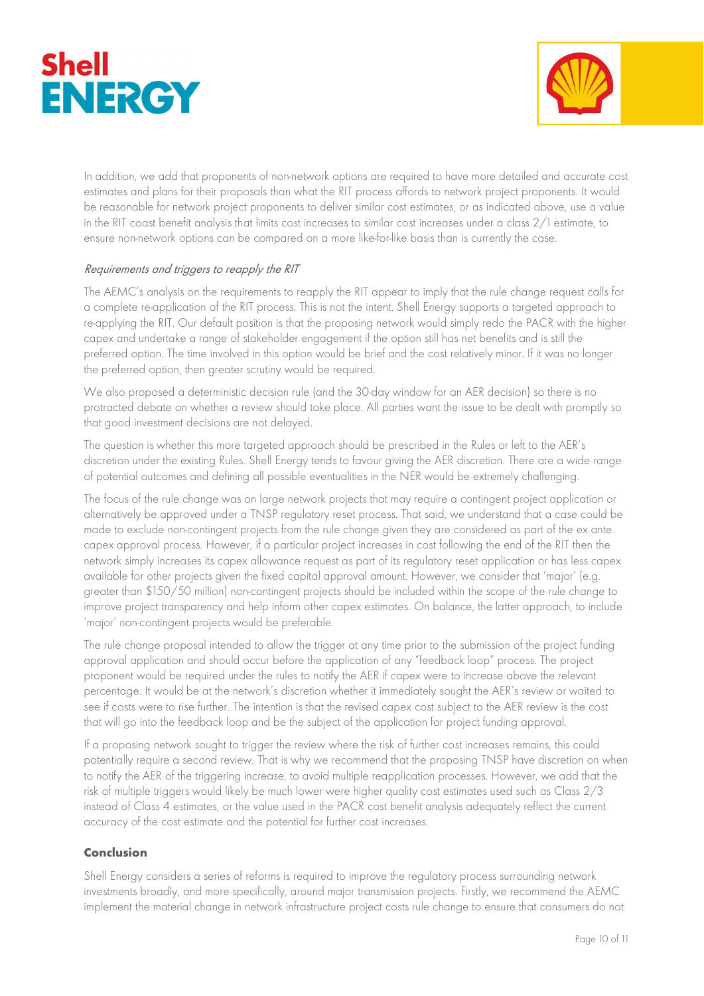



In addition, we add that proponents of non-network options are required to have more detailed and accurate cost estimates and plans for their proposals than what the RIT process affords to network project proponents. It would be reasonable for network project proponents to deliver similar cost estimates, or as indicated above, use a value in the RIT coast benefit analysis that limits cost increases to similar cost increases under a class 2/1 estimate, to ensure non-network options can be compared on a more like-for-like basis than is currently the case.

# Requirements and triggers to reapply the RIT

The AEMC's analysis on the requirements to reapply the RIT appear to imply that the rule change request calls for a complete re-application of the RIT process. This is not the intent. Shell Energy supports a targeted approach to re-applying the RIT. Our default position is that the proposing network would simply redo the PACR with the higher capex and undertake a range of stakeholder engagement if the option still has net benefits and is still the preferred option. The time involved in this option would be brief and the cost relatively minor. If it was no longer the preferred option, then greater scrutiny would be required.

We also proposed a deterministic decision rule (and the 30-day window for an AER decision) so there is no protracted debate on whether a review should take place. All parties want the issue to be dealt with promptly so that good investment decisions are not delayed.

The question is whether this more targeted approach should be prescribed in the Rules or left to the AER's discretion under the existing Rules. Shell Energy tends to favour giving the AER discretion. There are a wide range of potential outcomes and defining all possible eventualities in the NER would be extremely challenging.

The focus of the rule change was on large network projects that may require a contingent project application or alternatively be approved under a TNSP regulatory reset process. That said, we understand that a case could be made to exclude non-contingent projects from the rule change given they are considered as part of the ex ante capex approval process. However, if a particular project increases in cost following the end of the RIT then the network simply increases its capex allowance request as part of its regulatory reset application or has less capex available for other projects given the fixed capital approval amount. However, we consider that 'major' (e.g. greater than \$150/50 million) non-contingent projects should be included within the scope of the rule change to improve project transparency and help inform other capex estimates. On balance, the latter approach, to include 'major' non-contingent projects would be preferable.

The rule change proposal intended to allow the trigger at any time prior to the submission of the project funding approval application and should occur before the application of any "feedback loop" process. The project proponent would be required under the rules to notify the AER if capex were to increase above the relevant percentage. It would be at the network's discretion whether it immediately sought the AER's review or waited to see if costs were to rise further. The intention is that the revised capex cost subject to the AER review is the cost that will go into the feedback loop and be the subject of the application for project funding approval.

If a proposing network sought to trigger the review where the risk of further cost increases remains, this could potentially require a second review. That is why we recommend that the proposing TNSP have discretion on when to notify the AER of the triggering increase, to avoid multiple reapplication processes. However, we add that the risk of multiple triggers would likely be much lower were higher quality cost estimates used such as Class 2/3 instead of Class 4 estimates, or the value used in the PACR cost benefit analysis adequately reflect the current accuracy of the cost estimate and the potential for further cost increases.

# Conclusion

Shell Energy considers a series of reforms is required to improve the regulatory process surrounding network investments broadly, and more specifically, around major transmission projects. Firstly, we recommend the AEMC implement the material change in network infrastructure project costs rule change to ensure that consumers do not